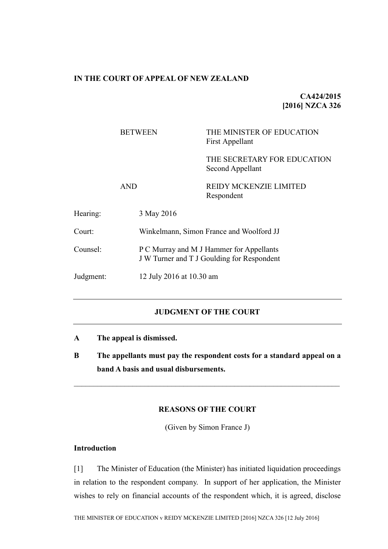## **IN THE COURT OF APPEAL OF NEW ZEALAND**

**CA424/2015 [2016] NZCA 326**

|           | <b>BETWEEN</b> | THE MINISTER OF EDUCATION<br>First Appellant                                           |  |
|-----------|----------------|----------------------------------------------------------------------------------------|--|
|           |                | THE SECRETARY FOR EDUCATION<br>Second Appellant                                        |  |
|           | <b>AND</b>     | <b>REIDY MCKENZIE LIMITED</b><br>Respondent                                            |  |
| Hearing:  | 3 May 2016     |                                                                                        |  |
| Court:    |                | Winkelmann, Simon France and Woolford JJ                                               |  |
| Counsel:  |                | P C Murray and M J Hammer for Appellants<br>J W Turner and T J Goulding for Respondent |  |
| Judgment: |                | 12 July 2016 at 10.30 am                                                               |  |
|           |                |                                                                                        |  |

# **JUDGMENT OF THE COURT**

- **A The appeal is dismissed.**
- **B The appellants must pay the respondent costs for a standard appeal on a band A basis and usual disbursements.**

 $\mathcal{L}_\mathcal{L} = \{ \mathcal{L}_\mathcal{L} = \{ \mathcal{L}_\mathcal{L} = \{ \mathcal{L}_\mathcal{L} = \{ \mathcal{L}_\mathcal{L} = \{ \mathcal{L}_\mathcal{L} = \{ \mathcal{L}_\mathcal{L} = \{ \mathcal{L}_\mathcal{L} = \{ \mathcal{L}_\mathcal{L} = \{ \mathcal{L}_\mathcal{L} = \{ \mathcal{L}_\mathcal{L} = \{ \mathcal{L}_\mathcal{L} = \{ \mathcal{L}_\mathcal{L} = \{ \mathcal{L}_\mathcal{L} = \{ \mathcal{L}_\mathcal{$ 

# **REASONS OF THE COURT**

(Given by Simon France J)

## **Introduction**

[1] The Minister of Education (the Minister) has initiated liquidation proceedings in relation to the respondent company. In support of her application, the Minister wishes to rely on financial accounts of the respondent which, it is agreed, disclose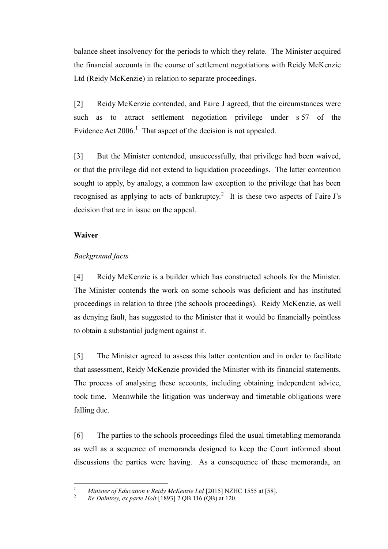balance sheet insolvency for the periods to which they relate. The Minister acquired the financial accounts in the course of settlement negotiations with Reidy McKenzie Ltd (Reidy McKenzie) in relation to separate proceedings.

[2] Reidy McKenzie contended, and Faire J agreed, that the circumstances were such as to attract settlement negotiation privilege under s 57 of the Evidence Act  $2006$ <sup>1</sup>. That aspect of the decision is not appealed.

[3] But the Minister contended, unsuccessfully, that privilege had been waived, or that the privilege did not extend to liquidation proceedings. The latter contention sought to apply, by analogy, a common law exception to the privilege that has been recognised as applying to acts of bankruptcy.<sup>2</sup> It is these two aspects of Faire J's decision that are in issue on the appeal.

## **Waiver**

# *Background facts*

[4] Reidy McKenzie is a builder which has constructed schools for the Minister. The Minister contends the work on some schools was deficient and has instituted proceedings in relation to three (the schools proceedings). Reidy McKenzie, as well as denying fault, has suggested to the Minister that it would be financially pointless to obtain a substantial judgment against it.

[5] The Minister agreed to assess this latter contention and in order to facilitate that assessment, Reidy McKenzie provided the Minister with its financial statements. The process of analysing these accounts, including obtaining independent advice, took time. Meanwhile the litigation was underway and timetable obligations were falling due.

[6] The parties to the schools proceedings filed the usual timetabling memoranda as well as a sequence of memoranda designed to keep the Court informed about discussions the parties were having. As a consequence of these memoranda, an

 $\overline{1}$ <sup>1</sup> *Minister of Education v Reidy McKenzie Ltd* [2015] NZHC 1555 at [58].

<sup>2</sup> *Re Daintrey, ex parte Holt* [1893] 2 QB 116 (QB) at 120.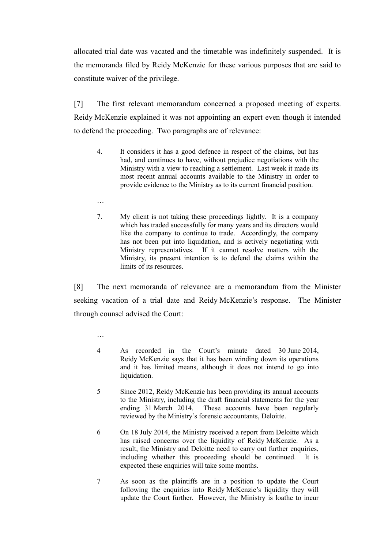allocated trial date was vacated and the timetable was indefinitely suspended. It is the memoranda filed by Reidy McKenzie for these various purposes that are said to constitute waiver of the privilege.

[7] The first relevant memorandum concerned a proposed meeting of experts. Reidy McKenzie explained it was not appointing an expert even though it intended to defend the proceeding. Two paragraphs are of relevance:

- 4. It considers it has a good defence in respect of the claims, but has had, and continues to have, without prejudice negotiations with the Ministry with a view to reaching a settlement. Last week it made its most recent annual accounts available to the Ministry in order to provide evidence to the Ministry as to its current financial position.
- …
- 7. My client is not taking these proceedings lightly. It is a company which has traded successfully for many years and its directors would like the company to continue to trade. Accordingly, the company has not been put into liquidation, and is actively negotiating with Ministry representatives. If it cannot resolve matters with the Ministry, its present intention is to defend the claims within the limits of its resources.

[8] The next memoranda of relevance are a memorandum from the Minister seeking vacation of a trial date and Reidy McKenzie's response. The Minister through counsel advised the Court:

- 4 As recorded in the Court's minute dated 30 June 2014, Reidy McKenzie says that it has been winding down its operations and it has limited means, although it does not intend to go into liquidation.
- 5 Since 2012, Reidy McKenzie has been providing its annual accounts to the Ministry, including the draft financial statements for the year ending 31 March 2014. These accounts have been regularly reviewed by the Ministry's forensic accountants, Deloitte.
- 6 On 18 July 2014, the Ministry received a report from Deloitte which has raised concerns over the liquidity of Reidy McKenzie. As a result, the Ministry and Deloitte need to carry out further enquiries, including whether this proceeding should be continued. It is expected these enquiries will take some months.
- 7 As soon as the plaintiffs are in a position to update the Court following the enquiries into Reidy McKenzie's liquidity they will update the Court further. However, the Ministry is loathe to incur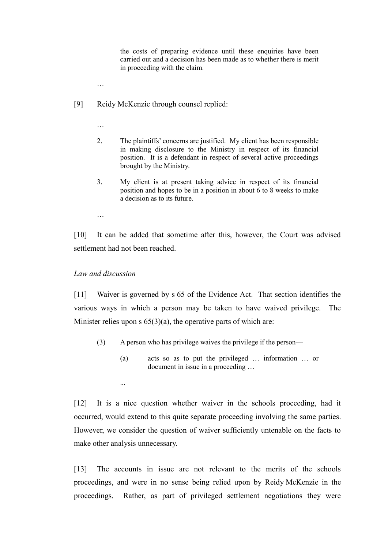the costs of preparing evidence until these enquiries have been carried out and a decision has been made as to whether there is merit in proceeding with the claim.

- …
- [9] Reidy McKenzie through counsel replied:

…

- 2. The plaintiffs' concerns are justified. My client has been responsible in making disclosure to the Ministry in respect of its financial position. It is a defendant in respect of several active proceedings brought by the Ministry.
- 3. My client is at present taking advice in respect of its financial position and hopes to be in a position in about 6 to 8 weeks to make a decision as to its future.
- …

[10] It can be added that sometime after this, however, the Court was advised settlement had not been reached.

#### *Law and discussion*

...

[11] Waiver is governed by s 65 of the Evidence Act. That section identifies the various ways in which a person may be taken to have waived privilege. The Minister relies upon  $s$  65(3)(a), the operative parts of which are:

- (3) A person who has privilege waives the privilege if the person—
	- (a) acts so as to put the privileged … information … or document in issue in a proceeding …

[12] It is a nice question whether waiver in the schools proceeding, had it occurred, would extend to this quite separate proceeding involving the same parties. However, we consider the question of waiver sufficiently untenable on the facts to make other analysis unnecessary.

[13] The accounts in issue are not relevant to the merits of the schools proceedings, and were in no sense being relied upon by Reidy McKenzie in the proceedings. Rather, as part of privileged settlement negotiations they were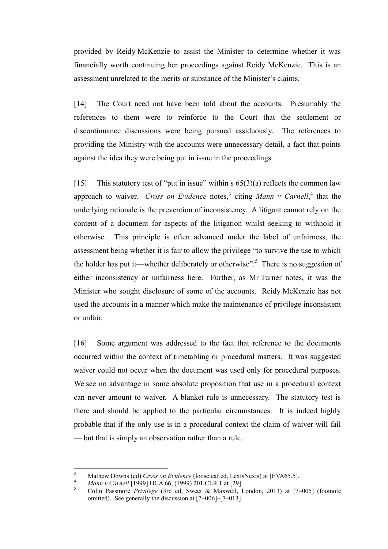provided by Reidy McKenzie to assist the Minister to determine whether it was financially worth continuing her proceedings against Reidy McKenzie. This is an assessment unrelated to the merits or substance of the Minister's claims.

[14] The Court need not have been told about the accounts. Presumably the references to them were to reinforce to the Court that the settlement or discontinuance discussions were being pursued assiduously. The references to providing the Ministry with the accounts were unnecessary detail, a fact that points against the idea they were being put in issue in the proceedings.

[15] This statutory test of "put in issue" within  $s$  65(3)(a) reflects the common law approach to waiver. *Cross on Evidence* notes,<sup>3</sup> citing *Mann v Carnell*,<sup>4</sup> that the underlying rationale is the prevention of inconsistency. A litigant cannot rely on the content of a document for aspects of the litigation whilst seeking to withhold it otherwise. This principle is often advanced under the label of unfairness, the assessment being whether it is fair to allow the privilege "to survive the use to which the holder has put it—whether deliberately or otherwise".<sup>5</sup> There is no suggestion of either inconsistency or unfairness here. Further, as Mr Turner notes, it was the Minister who sought disclosure of some of the accounts. Reidy McKenzie has not used the accounts in a manner which make the maintenance of privilege inconsistent or unfair.

[16] Some argument was addressed to the fact that reference to the documents occurred within the context of timetabling or procedural matters. It was suggested waiver could not occur when the document was used only for procedural purposes. We see no advantage in some absolute proposition that use in a procedural context can never amount to waiver. A blanket rule is unnecessary. The statutory test is there and should be applied to the particular circumstances. It is indeed highly probable that if the only use is in a procedural context the claim of waiver will fail — but that is simply an observation rather than a rule.

 $\overline{3}$ <sup>3</sup> Mathew Downs (ed) *Cross on Evidence* (looseleaf ed, LexisNexis) at [EVA65.5].

<sup>4</sup> *Mann v Carnell* [1999] HCA 66, (1999) 201 CLR 1 at [29].

<sup>5</sup> Colin Passmore *Privilege* (3rd ed, Sweet & Maxwell, London, 2013) at [7–005] (footnote omitted). See generally the discussion at [7–006]–[7–013].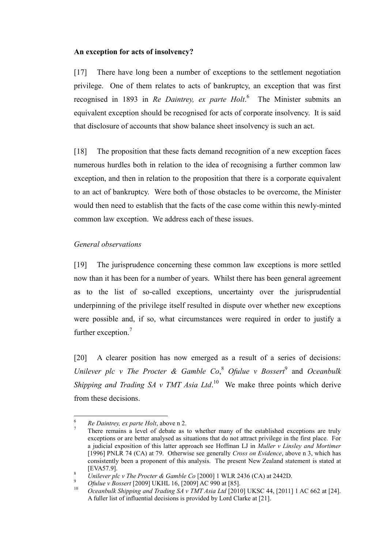### **An exception for acts of insolvency?**

[17] There have long been a number of exceptions to the settlement negotiation privilege. One of them relates to acts of bankruptcy, an exception that was first recognised in 1893 in *Re Daintrey, ex parte Holt*. 6 The Minister submits an equivalent exception should be recognised for acts of corporate insolvency. It is said that disclosure of accounts that show balance sheet insolvency is such an act.

[18] The proposition that these facts demand recognition of a new exception faces numerous hurdles both in relation to the idea of recognising a further common law exception, and then in relation to the proposition that there is a corporate equivalent to an act of bankruptcy. Were both of those obstacles to be overcome, the Minister would then need to establish that the facts of the case come within this newly-minted common law exception. We address each of these issues.

### *General observations*

[19] The jurisprudence concerning these common law exceptions is more settled now than it has been for a number of years. Whilst there has been general agreement as to the list of so-called exceptions, uncertainty over the jurisprudential underpinning of the privilege itself resulted in dispute over whether new exceptions were possible and, if so, what circumstances were required in order to justify a further exception.<sup>7</sup>

[20] A clearer position has now emerged as a result of a series of decisions: *Unilever plc v The Procter & Gamble Co*,<sup>8</sup> *Ofulue v Bossert*<sup>9</sup> and *Oceanbulk Shipping and Trading SA v TMT Asia Ltd*.<sup>10</sup> We make three points which derive from these decisions.

 $\overline{a}$ 

<sup>6</sup> *Re Daintrey, ex parte Holt*, above n 2.

<sup>7</sup> There remains a level of debate as to whether many of the established exceptions are truly exceptions or are better analysed as situations that do not attract privilege in the first place. For a judicial exposition of this latter approach see Hoffman LJ in *Muller v Linsley and Mortimer* [1996] PNLR 74 (CA) at 79. Otherwise see generally *Cross on Evidence*, above n 3, which has consistently been a proponent of this analysis. The present New Zealand statement is stated at [EVA57.9].

<sup>8</sup> *Unilever plc v The Procter & Gamble Co* [2000] 1 WLR 2436 (CA) at 2442D.

<sup>&</sup>lt;sup>9</sup> *Ofulue v Bossert* [2009] UKHL 16, [2009] AC 990 at [85].

<sup>10</sup> *Oceanbulk Shipping and Trading SA v TMT Asia Ltd* [2010] UKSC 44, [2011] 1 AC 662 at [24]. A fuller list of influential decisions is provided by Lord Clarke at [21].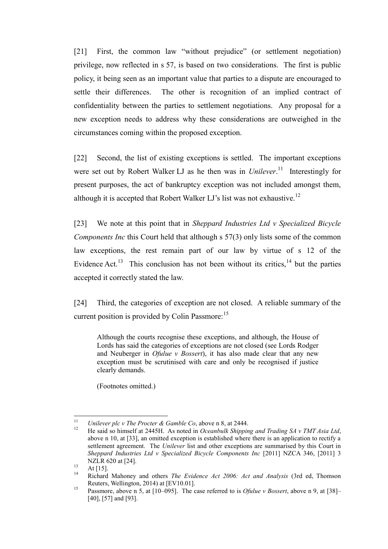[21] First, the common law "without prejudice" (or settlement negotiation) privilege, now reflected in s 57, is based on two considerations. The first is public policy, it being seen as an important value that parties to a dispute are encouraged to settle their differences. The other is recognition of an implied contract of confidentiality between the parties to settlement negotiations. Any proposal for a new exception needs to address why these considerations are outweighed in the circumstances coming within the proposed exception.

[22] Second, the list of existing exceptions is settled. The important exceptions were set out by Robert Walker LJ as he then was in *Unilever*.<sup>11</sup> Interestingly for present purposes, the act of bankruptcy exception was not included amongst them, although it is accepted that Robert Walker LJ's list was not exhaustive.<sup>12</sup>

[23] We note at this point that in *Sheppard Industries Ltd v Specialized Bicycle Components Inc* this Court held that although s 57(3) only lists some of the common law exceptions, the rest remain part of our law by virtue of s 12 of the Evidence Act.<sup>13</sup> This conclusion has not been without its critics,  $14$  but the parties accepted it correctly stated the law.

[24] Third, the categories of exception are not closed. A reliable summary of the current position is provided by Colin Passmore:<sup>15</sup>

Although the courts recognise these exceptions, and although, the House of Lords has said the categories of exceptions are not closed (see Lords Rodger and Neuberger in *Ofulue v Bossert*), it has also made clear that any new exception must be scrutinised with care and only be recognised if justice clearly demands.

(Footnotes omitted.)

 $11$ <sup>11</sup> *Unilever plc v The Procter & Gamble Co*, above n 8, at 2444.

<sup>12</sup> He said so himself at 2445H. As noted in *Oceanbulk Shipping and Trading SA v TMT Asia Ltd*, above n 10, at [33], an omitted exception is established where there is an application to rectify a settlement agreement. The *Unilever* list and other exceptions are summarised by this Court in *Sheppard Industries Ltd v Specialized Bicycle Components Inc* [2011] NZCA 346, [2011] 3 NZLR 620 at [24].

 $13$  At [15].

<sup>14</sup> Richard Mahoney and others *The Evidence Act 2006: Act and Analysis* (3rd ed, Thomson Reuters, Wellington, 2014) at [EV10.01].

<sup>15</sup> Passmore, above n 5, at [10–095]. The case referred to is *Ofulue v Bossert*, above n 9, at [38]– [40], [57] and [93].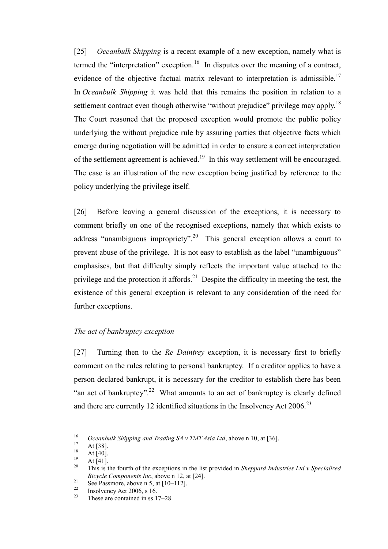[25] *Oceanbulk Shipping* is a recent example of a new exception, namely what is termed the "interpretation" exception.<sup>16</sup> In disputes over the meaning of a contract, evidence of the objective factual matrix relevant to interpretation is admissible.<sup>17</sup> In *Oceanbulk Shipping* it was held that this remains the position in relation to a settlement contract even though otherwise "without prejudice" privilege may apply.<sup>18</sup> The Court reasoned that the proposed exception would promote the public policy underlying the without prejudice rule by assuring parties that objective facts which emerge during negotiation will be admitted in order to ensure a correct interpretation of the settlement agreement is achieved.<sup>19</sup> In this way settlement will be encouraged. The case is an illustration of the new exception being justified by reference to the policy underlying the privilege itself.

[26] Before leaving a general discussion of the exceptions, it is necessary to comment briefly on one of the recognised exceptions, namely that which exists to address "unambiguous impropriety".<sup>20</sup> This general exception allows a court to prevent abuse of the privilege. It is not easy to establish as the label "unambiguous" emphasises, but that difficulty simply reflects the important value attached to the privilege and the protection it affords.<sup>21</sup> Despite the difficulty in meeting the test, the existence of this general exception is relevant to any consideration of the need for further exceptions.

## *The act of bankruptcy exception*

[27] Turning then to the *Re Daintrey* exception, it is necessary first to briefly comment on the rules relating to personal bankruptcy. If a creditor applies to have a person declared bankrupt, it is necessary for the creditor to establish there has been "an act of bankruptcy".<sup>22</sup> What amounts to an act of bankruptcy is clearly defined and there are currently 12 identified situations in the Insolvency Act 2006.<sup>23</sup>

<sup>16</sup> <sup>16</sup> *Oceanbulk Shipping and Trading SA v TMT Asia Ltd*, above n 10, at [36].

 $17$  At [38].

 $\frac{18}{19}$  At [40].

 $\frac{19}{20}$  At [41].

<sup>20</sup> This is the fourth of the exceptions in the list provided in *Sheppard Industries Ltd v Specialized Bicycle Components Inc*, above n 12, at [24].

<sup>21</sup> See Passmore, above n 5, as  $\frac{1}{2}$ .<br>  $\frac{22}{2}$  Insellience, above n 5, at [10–112].

 $\frac{22}{23}$  Insolvency Act 2006, s 16.

These are contained in ss 17–28.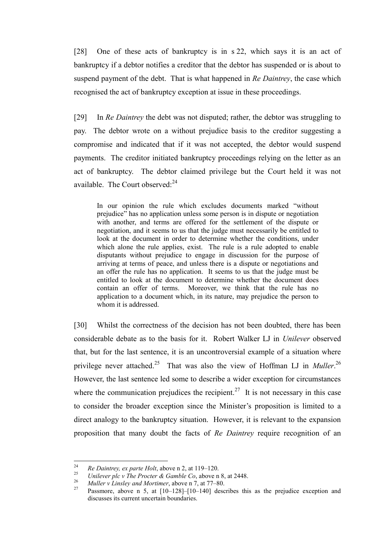[28] One of these acts of bankruptcy is in s 22, which says it is an act of bankruptcy if a debtor notifies a creditor that the debtor has suspended or is about to suspend payment of the debt. That is what happened in *Re Daintrey*, the case which recognised the act of bankruptcy exception at issue in these proceedings.

[29] In *Re Daintrey* the debt was not disputed; rather, the debtor was struggling to pay. The debtor wrote on a without prejudice basis to the creditor suggesting a compromise and indicated that if it was not accepted, the debtor would suspend payments. The creditor initiated bankruptcy proceedings relying on the letter as an act of bankruptcy. The debtor claimed privilege but the Court held it was not available. The Court observed: $24$ 

In our opinion the rule which excludes documents marked "without prejudice" has no application unless some person is in dispute or negotiation with another, and terms are offered for the settlement of the dispute or negotiation, and it seems to us that the judge must necessarily be entitled to look at the document in order to determine whether the conditions, under which alone the rule applies, exist. The rule is a rule adopted to enable disputants without prejudice to engage in discussion for the purpose of arriving at terms of peace, and unless there is a dispute or negotiations and an offer the rule has no application. It seems to us that the judge must be entitled to look at the document to determine whether the document does contain an offer of terms. Moreover, we think that the rule has no application to a document which, in its nature, may prejudice the person to whom it is addressed.

[30] Whilst the correctness of the decision has not been doubted, there has been considerable debate as to the basis for it. Robert Walker LJ in *Unilever* observed that, but for the last sentence, it is an uncontroversial example of a situation where privilege never attached.<sup>25</sup> That was also the view of Hoffman LJ in *Muller*.<sup>26</sup> However, the last sentence led some to describe a wider exception for circumstances where the communication prejudices the recipient.<sup>27</sup> It is not necessary in this case to consider the broader exception since the Minister's proposition is limited to a direct analogy to the bankruptcy situation. However, it is relevant to the expansion proposition that many doubt the facts of *Re Daintrey* require recognition of an

<sup>24</sup> <sup>24</sup> *Re Daintrey, ex parte Holt*, above n 2, at 119–120.

<sup>&</sup>lt;sup>25</sup> *Unilever plc v The Procter & Gamble Co*, above n 8, at 2448.

<sup>&</sup>lt;sup>26</sup> *Muller v Linsley and Mortimer*, above n 7, at 77–80.<br><sup>27</sup> Presurence above n 5, at 510, 1281, 510, 1401 dece

Passmore, above n 5, at  $[10-128]$ – $[10-140]$  describes this as the prejudice exception and discusses its current uncertain boundaries.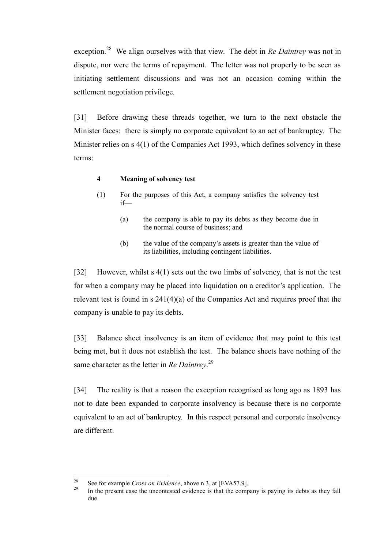exception.<sup>28</sup> We align ourselves with that view. The debt in *Re Daintrey* was not in dispute, nor were the terms of repayment. The letter was not properly to be seen as initiating settlement discussions and was not an occasion coming within the settlement negotiation privilege.

[31] Before drawing these threads together, we turn to the next obstacle the Minister faces: there is simply no corporate equivalent to an act of bankruptcy. The Minister relies on s 4(1) of the Companies Act 1993, which defines solvency in these terms:

### **4 Meaning of solvency test**

- (1) For the purposes of this Act, a company satisfies the solvency test if—
	- (a) the company is able to pay its debts as they become due in the normal course of business; and
	- (b) the value of the company's assets is greater than the value of its liabilities, including contingent liabilities.

[32] However, whilst s 4(1) sets out the two limbs of solvency, that is not the test for when a company may be placed into liquidation on a creditor's application. The relevant test is found in s 241(4)(a) of the Companies Act and requires proof that the company is unable to pay its debts.

[33] Balance sheet insolvency is an item of evidence that may point to this test being met, but it does not establish the test. The balance sheets have nothing of the same character as the letter in *Re Daintrey*. 29

[34] The reality is that a reason the exception recognised as long ago as 1893 has not to date been expanded to corporate insolvency is because there is no corporate equivalent to an act of bankruptcy. In this respect personal and corporate insolvency are different.

<sup>28</sup> <sup>28</sup> See for example *Cross on Evidence*, above n 3, at [EVA57.9].

In the present case the uncontested evidence is that the company is paying its debts as they fall due.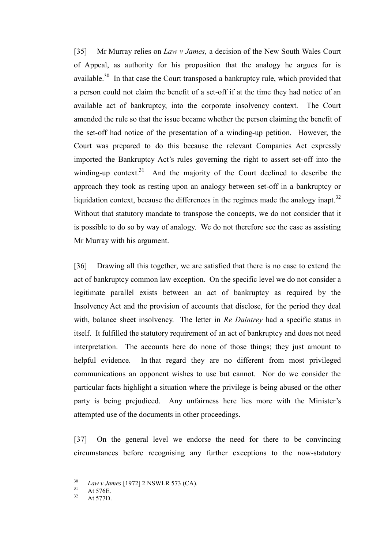[35] Mr Murray relies on *Law v James,* a decision of the New South Wales Court of Appeal, as authority for his proposition that the analogy he argues for is available.<sup>30</sup> In that case the Court transposed a bankruptcy rule, which provided that a person could not claim the benefit of a set-off if at the time they had notice of an available act of bankruptcy, into the corporate insolvency context. The Court amended the rule so that the issue became whether the person claiming the benefit of the set-off had notice of the presentation of a winding-up petition. However, the Court was prepared to do this because the relevant Companies Act expressly imported the Bankruptcy Act's rules governing the right to assert set-off into the winding-up context.<sup>31</sup> And the majority of the Court declined to describe the approach they took as resting upon an analogy between set-off in a bankruptcy or liquidation context, because the differences in the regimes made the analogy inapt.<sup>32</sup> Without that statutory mandate to transpose the concepts, we do not consider that it is possible to do so by way of analogy. We do not therefore see the case as assisting Mr Murray with his argument.

[36] Drawing all this together, we are satisfied that there is no case to extend the act of bankruptcy common law exception. On the specific level we do not consider a legitimate parallel exists between an act of bankruptcy as required by the Insolvency Act and the provision of accounts that disclose, for the period they deal with, balance sheet insolvency. The letter in *Re Daintrey* had a specific status in itself. It fulfilled the statutory requirement of an act of bankruptcy and does not need interpretation. The accounts here do none of those things; they just amount to helpful evidence. In that regard they are no different from most privileged communications an opponent wishes to use but cannot. Nor do we consider the particular facts highlight a situation where the privilege is being abused or the other party is being prejudiced. Any unfairness here lies more with the Minister's attempted use of the documents in other proceedings.

[37] On the general level we endorse the need for there to be convincing circumstances before recognising any further exceptions to the now-statutory

 $30$ <sup>30</sup> *Law v James* [1972] 2 NSWLR 573 (CA).

 $31$  At 576E.

At 577D.